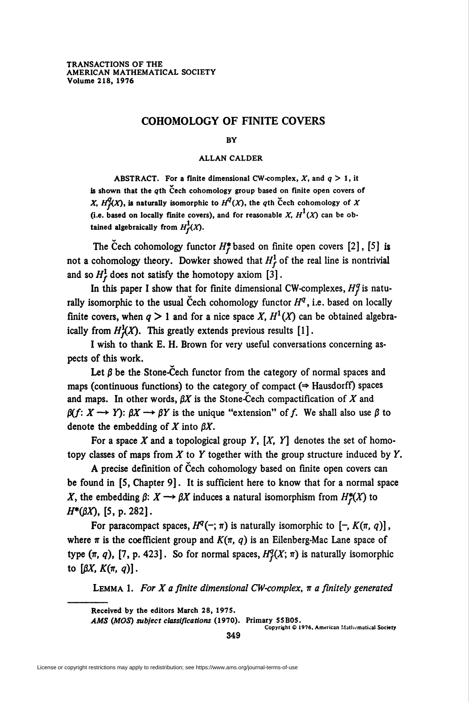# COHOMOLOGY OF FINITE COVERS

#### BY

## ALLAN CALDER

ABSTRACT. For a finite dimensional CW-complex,  $X$ , and  $q > 1$ , it is shown that the qth Cech cohomology group based on finite open covers of X,  $H_f^q(X)$ , is naturally isomorphic to  $H^q(X)$ , the qth Cech cohomology of X (i.e. based on locally finite covers), and for reasonable X,  $H^1(X)$  can be obtained algebraically from  $H_f^1(X)$ .

The Cech cohomology functor  $H_f^*$  based on finite open covers [2], [5] is not a cohomology theory. Dowker showed that  $H_f^1$  of the real line is nontrivial and so  $H_f^1$  does not satisfy the homotopy axiom [3].

In this paper I show that for finite dimensional CW-complexes,  $H_f^q$  is naturally isomorphic to the usual Cech cohomology functor  $H<sup>q</sup>$ , i.e. based on locally finite covers, when  $q > 1$  and for a nice space X,  $H<sup>1</sup>(X)$  can be obtained algebraically from  $H^1_t(X)$ . This greatly extends previous results [1].

I wish to thank E. H. Brown for very useful conversations concerning aspects of this work.

Let  $\beta$  be the Stone-Cech functor from the category of normal spaces and maps (continuous functions) to the category of compact  $(\Rightarrow$  Hausdorff) spaces and maps. In other words,  $\beta X$  is the Stone-Cech compactification of X and  $\beta(f: X \longrightarrow Y)$ :  $\beta X \longrightarrow \beta Y$  is the unique "extension" of f. We shall also use  $\beta$  to denote the embedding of X into  $\beta X$ .

For a space X and a topological group Y,  $[X, Y]$  denotes the set of homotopy classes of maps from  $X$  to  $Y$  together with the group structure induced by  $Y$ .

A precise definition of Cech cohomology based on finite open covers can be found in [5, Chapter 9]. It is sufficient here to know that for a normal space X, the embedding  $\beta: X \longrightarrow \beta X$  induces a natural isomorphism from  $H^*(X)$  to  $H^*(\beta X)$ , [5, p. 282].

For paracompact spaces,  $H^{q}(-; \pi)$  is naturally isomorphic to  $[-, K(\pi, q)]$ , where  $\pi$  is the coefficient group and  $K(\pi, q)$  is an Eilenberg-Mac Lane space of type  $(\pi, q)$ , [7, p. 423]. So for normal spaces,  $H_I^q(X; \pi)$  is naturally isomorphic to  $\left[\beta X, K(\pi, q)\right]$ .

LEMMA 1. For X a finite dimensional CW-complex,  $\pi$  a finitely generated

Received by the editors March 28, 1975.

AMS (MOS) subject classifications (1970). Primary 55B05.

Copyright <Q 1976, American Mathematical Society

349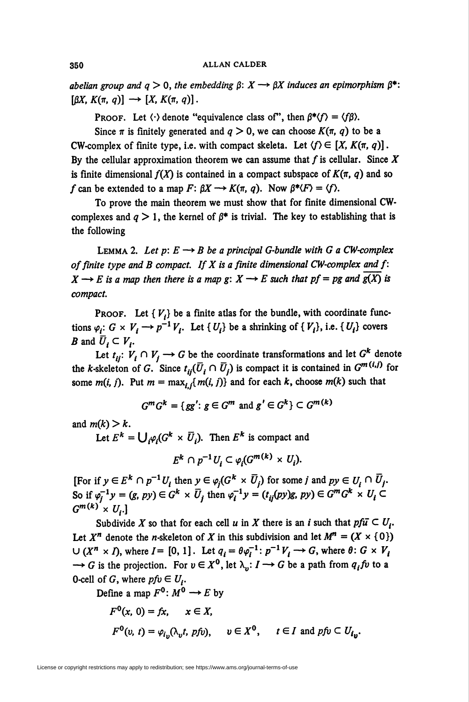abelian group and  $q>0$ , the embedding  $\beta: X \longrightarrow \beta X$  induces an epimorphism  $\beta^*$ :  $[\beta X, K(\pi, q)] \longrightarrow [X, K(\pi, q)].$ 

**PROOF.** Let  $\langle \cdot \rangle$  denote "equivalence class of", then  $\beta^* \langle f \rangle = \langle f \beta \rangle$ .

Since  $\pi$  is finitely generated and  $q > 0$ , we can choose  $K(\pi, q)$  to be a CW-complex of finite type, i.e. with compact skeleta. Let  $\langle f \rangle \in [X, K(\pi, q)]$ . By the cellular approximation theorem we can assume that  $f$  is cellular. Since  $X$ is finite dimensional  $f(X)$  is contained in a compact subspace of  $K(\pi, q)$  and so f can be extended to a map  $F: \beta X \longrightarrow K(\pi, q)$ . Now  $\beta^*(F) = \langle f \rangle$ .

To prove the main theorem we must show that for finite dimensional CWcomplexes and  $q > 1$ , the kernel of  $\beta^*$  is trivial. The key to establishing that is the following

LEMMA 2. Let  $p: E \longrightarrow B$  be a principal G-bundle with G a CW-complex of finite type and B compact. If X is a finite dimensional CW-complex and  $f$ :  $X \longrightarrow E$  is a map then there is a map g:  $X \longrightarrow E$  such that pf = pg and  $\overline{g(X)}$  is compact.

**PROOF.** Let  $\{V_i\}$  be a finite atlas for the bundle, with coordinate functions  $\varphi_i: G \times V_i \longrightarrow p^{-1}V_i$ . Let  $\{U_i\}$  be a shrinking of  $\{V_i\}$ , i.e.  $\{U_i\}$  covers B and  $\overline{U}_i \subset V_i$ .

Let  $t_{ii}: V_i \cap V_j \longrightarrow G$  be the coordinate transformations and let  $G^k$  denote the k-skeleton of G. Since  $t_{ij}(\overline{U}_i \cap \overline{U}_j)$  is compact it is contained in  $G^{m(i,j)}$  for some  $m(i, j)$ . Put  $m = \max_{i,j} \{ m(i, j) \}$  and for each k, choose  $m(k)$  such that

$$
G^m G^k = \{ gg' : g \in G^m \text{ and } g' \in G^k \} \subset G^{m(k)}
$$

and  $m(k) > k$ .

Let  $E^k = \bigcup_{i} \varphi_i (G^k \times \overline{U}_i)$ . Then  $E^k$  is compact and

 $E^k \cap p^{-1}U_i \subset \varphi_i(G^{m(k)} \times U_i).$ 

[For if  $y \in E^k \cap p^{-1} U_i$  then  $y \in \varphi_i(G^k \times \overline{U}_i)$  for some *j* and  $p y \in U_i \cap \overline{U}_i$ . So if  $\varphi_i^{-1} y = (g, py) \in G^k \times \overline{U}_i$  then  $\varphi_i^{-1} y = (t_{ij}(py)g, py) \in G^m G^k \times U_i$  $G^{m(k)} \times U_{i}$ .]

Subdivide X so that for each cell u in X there is an *i* such that  $pf\bar{u} \subset U_i$ . Let  $X^n$  denote the *n*-skeleton of X in this subdivision and let  $M^n = (X \times \{0\})$  $\bigcup (X^n \times I)$ , where  $I = [0, 1]$ . Let  $q_i = \theta \varphi_i^{-1} : p^{-1}V_i \longrightarrow G$ , where  $\theta : G \times V_i$  $\rightarrow G$  is the projection. For  $v \in X^0$ , let  $\lambda_n: I \rightarrow G$  be a path from  $q_i$  fu to a 0-cell of G, where  $p f v \in U_t$ .

Define a map  $F^0$ :  $M^0 \longrightarrow E$  by

$$
F^{0}(x, 0) = fx, \quad x \in X,
$$
  

$$
F^{0}(v, t) = \varphi_{i_{v}}(\lambda_{v}t, \; pfv), \quad v \in X^{0}, \quad t \in I \text{ and } pfv \subset U_{i_{v}}.
$$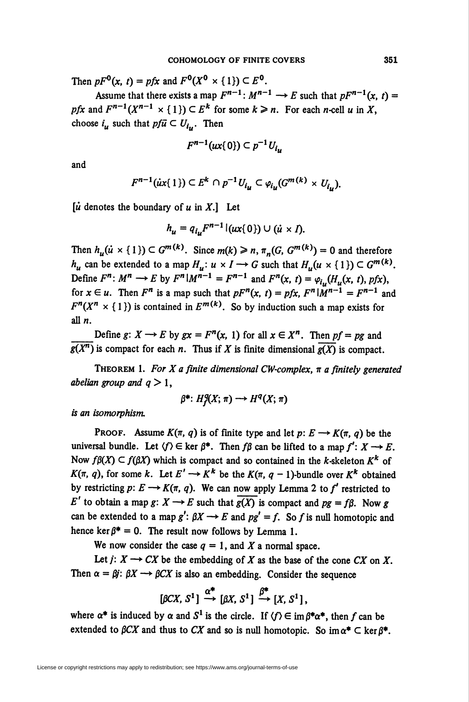Then  $pF^0(x, t) = pfx$  and  $F^0(X^0 \times \{1\}) \subset E^0$ .

Assume that there exists a map  $F^{n-1}$ :  $M^{n-1} \rightarrow E$  such that  $pF^{n-1}(x, t) =$ pfx and  $F^{n-1}(X^{n-1} \times \{1\}) \subset E^k$  for some  $k \geq n$ . For each *n*-cell u in X, choose  $i_u$  such that  $pf\bar{u} \subset U_{i_u}$ . Then

$$
F^{n-1}(ux\{0\}) \subset p^{-1}U_{i_n}
$$

and

$$
F^{n-1}(ix\{1\})\subset E^k\cap p^{-1}U_{i\mu}\subset\varphi_{i\mu}(G^{m(k)}\times U_{i\mu}).
$$

 $\left[\dot{u}\right]$  denotes the boundary of u in X.] Let

$$
h_u = q_{i_u} F^{n-1} |(ux\{0\}) \cup (\dot{u} \times I).
$$

Then  $h_u(u \times \{1\}) \subset G^{m(k)}$ . Since  $m(k) \ge n$ ,  $\pi_n(G, G^{m(k)}) = 0$  and therefore  $h_u$  can be extended to a map  $H_u: u \times I \longrightarrow G$  such that  $H_u(u \times \{1\}) \subset G^{m(k)}$ . Define  $F^n$ :  $M^n \to E$  by  $F^n | M^{n-1} = F^{n-1}$  and  $F^n(x, t) = \varphi_{i}([H_n(x, t), pfx),$ for  $x \in u$ . Then  $F^n$  is a map such that  $pF^n(x, t) = pfx$ ,  $F^n|\tilde{M}^{n-1} = F^{n-1}$  and  $F^{n}(X^{n} \times \{1\})$  is contained in  $E^{m(k)}$ . So by induction such a map exists for all  $n$ .

Define g:  $X \rightarrow E$  by  $gx = F^{n}(x, 1)$  for all  $x \in X^{n}$ . Then  $pf = pg$  and  $g(X^n)$  is compact for each *n*. Thus if X is finite dimensional  $g(X)$  is compact.

THEOREM 1. For X a finite dimensional CW-complex,  $\pi$  a finitely generated abelian group and  $q > 1$ ,

$$
\beta^*: H^q(X; \pi) \longrightarrow H^q(X; \pi)
$$

is an isomorphism.

PROOF. Assume  $K(\pi, q)$  is of finite type and let  $p: E \longrightarrow K(\pi, q)$  be the universal bundle. Let  $\langle f \rangle \in \text{ker } \beta^*$ . Then  $f\beta$  can be lifted to a map  $f' : X \longrightarrow E$ . Now  $f\beta(X) \subset f(\beta X)$  which is compact and so contained in the *k*-skeleton K<sup>k</sup> of  $K(\pi, q)$ , for some k. Let  $E' \to K^k$  be the  $K(\pi, q - 1)$ -bundle over  $K^k$  obtained by restricting  $p: E \longrightarrow K(\pi, q)$ . We can now apply Lemma 2 to f' restricted to E' to obtain a map g:  $X \rightarrow E$  such that  $g(X)$  is compact and  $pg = f\beta$ . Now g can be extended to a map  $g' : \beta X \rightarrow E$  and  $pg' = f$ . So f is null homotopic and hence ker  $\beta^* = 0$ . The result now follows by Lemma 1.

We now consider the case  $q = 1$ , and X a normal space.

Let  $j: X \longrightarrow CX$  be the embedding of X as the base of the cone CX on X. Then  $\alpha = \beta j$ :  $\beta X \rightarrow \beta C X$  is also an embedding. Consider the sequence

$$
[\beta CX, S^1] \stackrel{\alpha^*}{\longrightarrow} [\beta X, S^1] \stackrel{\beta^*}{\longrightarrow} [X, S^1],
$$

where  $\alpha^*$  is induced by  $\alpha$  and  $S^1$  is the circle. If  $\langle f \rangle \in \text{im } \beta^* \alpha^*$ , then f can be extended to  $\beta C X$  and thus to  $C X$  and so is null homotopic. So im  $\alpha^* \subset \ker \beta^*$ .